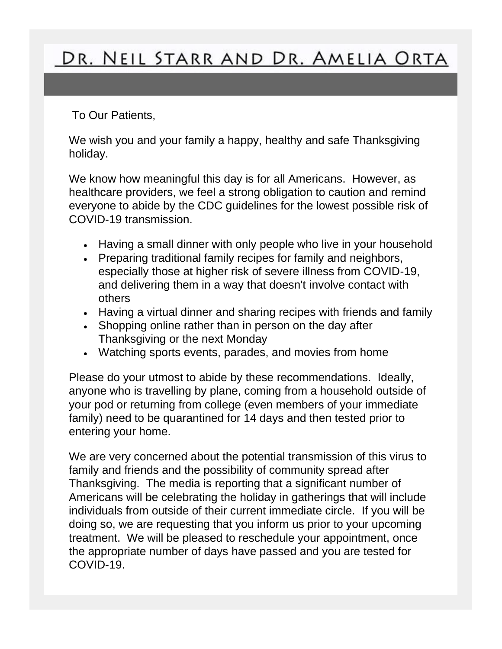## DR. NEIL STARR AND DR. AMELIA ORTA

To Our Patients,

We wish you and your family a happy, healthy and safe Thanksgiving holiday.

We know how meaningful this day is for all Americans. However, as healthcare providers, we feel a strong obligation to caution and remind everyone to abide by the CDC guidelines for the lowest possible risk of COVID-19 transmission.

- Having a small dinner with only people who live in your household
- Preparing traditional family recipes for family and neighbors, especially those at higher risk of severe illness from COVID-19, and delivering them in a way that doesn't involve contact with others
- Having a virtual dinner and sharing recipes with friends and family
- Shopping online rather than in person on the day after Thanksgiving or the next Monday
- Watching sports events, parades, and movies from home

Please do your utmost to abide by these recommendations. Ideally, anyone who is travelling by plane, coming from a household outside of your pod or returning from college (even members of your immediate family) need to be quarantined for 14 days and then tested prior to entering your home.

We are very concerned about the potential transmission of this virus to family and friends and the possibility of community spread after Thanksgiving. The media is reporting that a significant number of Americans will be celebrating the holiday in gatherings that will include individuals from outside of their current immediate circle. If you will be doing so, we are requesting that you inform us prior to your upcoming treatment. We will be pleased to reschedule your appointment, once the appropriate number of days have passed and you are tested for COVID-19.